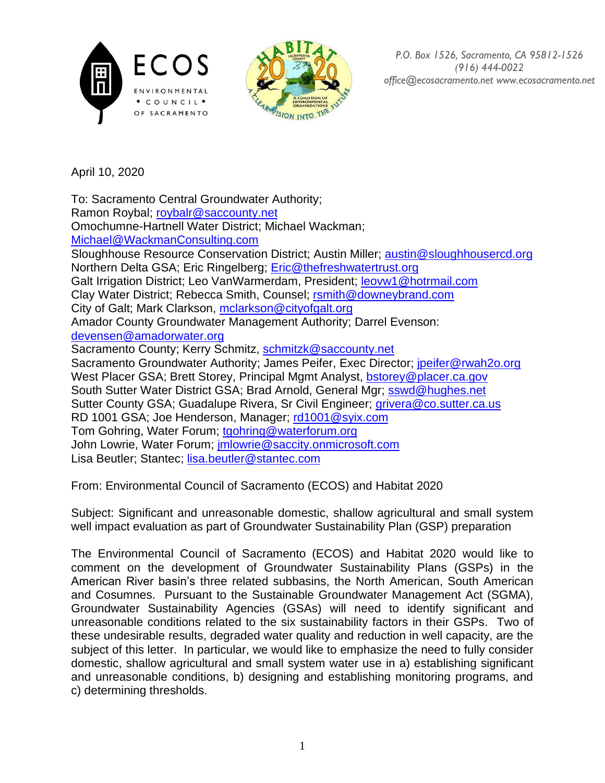



*P.O. Box 1526, Sacramento, CA 95812-1526 (916) 444-0022 office@ecosacramento.net www.ecosacramento.net*

April 10, 2020

To: Sacramento Central Groundwater Authority;

Ramon Roybal; [roybalr@saccounty.net](mailto:roybalr@saccounty.net)

Omochumne-Hartnell Water District; Michael Wackman; [Michael@WackmanConsulting.com](mailto:Michael@WackmanConsulting.com)

Sloughhouse Resource Conservation District; Austin Miller; [austin@sloughhousercd.org](mailto:austin@sloughhousercd.org)

Northern Delta GSA; Eric Ringelberg; [Eric@thefreshwatertrust.org](mailto:Eric@thefreshwatertrust.org)

Galt Irrigation District; Leo VanWarmerdam, President; [leovw1@hotrmail.com](mailto:leovw1@hotrmail.com)

Clay Water District; Rebecca Smith, Counsel; [rsmith@downeybrand.com](mailto:rsmith@downeybrand.com)

City of Galt; Mark Clarkson, [mclarkson@cityofgalt.org](mailto:mclarkson@cityofgalt.org)

Amador County Groundwater Management Authority; Darrel Evenson: [devensen@amadorwater.org](mailto:devensen@amadorwater.org)

Sacramento County; Kerry Schmitz, [schmitzk@saccounty.net](mailto:schmitzk@saccounty.net)

Sacramento Groundwater Authority; James Peifer, Exec Director; [jpeifer@rwah2o.org](mailto:jpeifer@rwah2o.org) West Placer GSA; Brett Storey, Principal Mgmt Analyst, [bstorey@placer.ca.gov](mailto:bstorey@placer.ca.gov) South Sutter Water District GSA; Brad Arnold, General Mgr; [sswd@hughes.net](mailto:sswd@hughes.net) Sutter County GSA; Guadalupe Rivera, Sr Civil Engineer; [grivera@co.sutter.ca.us](mailto:grivera@co.sutter.ca.us) RD 1001 GSA; Joe Henderson, Manager; [rd1001@syix.com](mailto:rd1001@syix.com) Tom Gohring, Water Forum; [tgohring@waterforum.org](mailto:tgohring@waterforum.org) John Lowrie, Water Forum; [jmlowrie@saccity.onmicrosoft.com](mailto:jmlowrie@saccity.onmicrosoft.com) Lisa Beutler; Stantec; [lisa.beutler@stantec.com](mailto:lisa.beutler@stantec.com)

From: Environmental Council of Sacramento (ECOS) and Habitat 2020

Subject: Significant and unreasonable domestic, shallow agricultural and small system well impact evaluation as part of Groundwater Sustainability Plan (GSP) preparation

The Environmental Council of Sacramento (ECOS) and Habitat 2020 would like to comment on the development of Groundwater Sustainability Plans (GSPs) in the American River basin's three related subbasins, the North American, South American and Cosumnes. Pursuant to the Sustainable Groundwater Management Act (SGMA), Groundwater Sustainability Agencies (GSAs) will need to identify significant and unreasonable conditions related to the six sustainability factors in their GSPs. Two of these undesirable results, degraded water quality and reduction in well capacity, are the subject of this letter. In particular, we would like to emphasize the need to fully consider domestic, shallow agricultural and small system water use in a) establishing significant and unreasonable conditions, b) designing and establishing monitoring programs, and c) determining thresholds.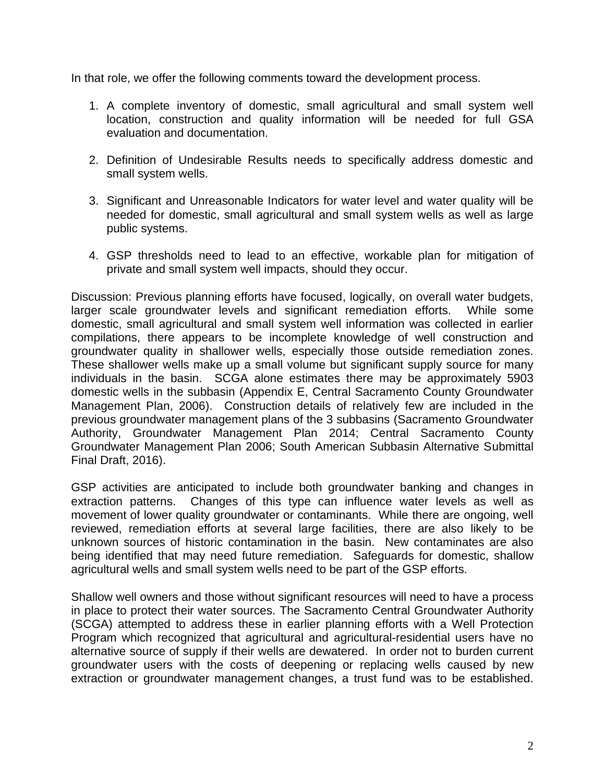In that role, we offer the following comments toward the development process.

- 1. A complete inventory of domestic, small agricultural and small system well location, construction and quality information will be needed for full GSA evaluation and documentation.
- 2. Definition of Undesirable Results needs to specifically address domestic and small system wells.
- 3. Significant and Unreasonable Indicators for water level and water quality will be needed for domestic, small agricultural and small system wells as well as large public systems.
- 4. GSP thresholds need to lead to an effective, workable plan for mitigation of private and small system well impacts, should they occur.

Discussion: Previous planning efforts have focused, logically, on overall water budgets, larger scale groundwater levels and significant remediation efforts. While some domestic, small agricultural and small system well information was collected in earlier compilations, there appears to be incomplete knowledge of well construction and groundwater quality in shallower wells, especially those outside remediation zones. These shallower wells make up a small volume but significant supply source for many individuals in the basin. SCGA alone estimates there may be approximately 5903 domestic wells in the subbasin (Appendix E, Central Sacramento County Groundwater Management Plan, 2006). Construction details of relatively few are included in the previous groundwater management plans of the 3 subbasins (Sacramento Groundwater Authority, Groundwater Management Plan 2014; Central Sacramento County Groundwater Management Plan 2006; South American Subbasin Alternative Submittal Final Draft, 2016).

GSP activities are anticipated to include both groundwater banking and changes in extraction patterns. Changes of this type can influence water levels as well as movement of lower quality groundwater or contaminants. While there are ongoing, well reviewed, remediation efforts at several large facilities, there are also likely to be unknown sources of historic contamination in the basin. New contaminates are also being identified that may need future remediation. Safeguards for domestic, shallow agricultural wells and small system wells need to be part of the GSP efforts.

Shallow well owners and those without significant resources will need to have a process in place to protect their water sources. The Sacramento Central Groundwater Authority (SCGA) attempted to address these in earlier planning efforts with a Well Protection Program which recognized that agricultural and agricultural-residential users have no alternative source of supply if their wells are dewatered. In order not to burden current groundwater users with the costs of deepening or replacing wells caused by new extraction or groundwater management changes, a trust fund was to be established.